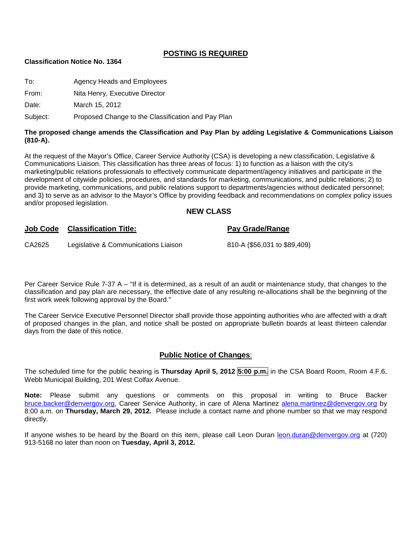### **POSTING IS REQUIRED**

#### **Classification Notice No. 1364**

| To: | Agency Heads and Employees |  |
|-----|----------------------------|--|
|-----|----------------------------|--|

From: Nita Henry, Executive Director

Date: March 15, 2012

Subject: Proposed Change to the Classification and Pay Plan

#### **The proposed change amends the Classification and Pay Plan by adding Legislative & Communications Liaison (810-A).**

At the request of the Mayor's Office, Career Service Authority (CSA) is developing a new classification, Legislative & Communications Liaison. This classification has three areas of focus: 1) to function as a liaison with the city's marketing/public relations professionals to effectively communicate department/agency initiatives and participate in the development of citywide policies, procedures, and standards for marketing, communications, and public relations; 2) to provide marketing, communications, and public relations support to departments/agencies without dedicated personnel; and 3) to serve as an advisor to the Mayor's Office by providing feedback and recommendations on complex policy issues and/or proposed legislation.

#### **NEW CLASS**

| <b>Job Code</b> | <b>Classification Title:</b>         | <b>Pay Grade/Range</b>       |
|-----------------|--------------------------------------|------------------------------|
| CA2625          | Legislative & Communications Liaison | 810-A (\$56,031 to \$89,409) |

Per Career Service Rule 7-37 A – "If it is determined, as a result of an audit or maintenance study, that changes to the classification and pay plan are necessary, the effective date of any resulting re-allocations shall be the beginning of the first work week following approval by the Board."

The Career Service Executive Personnel Director shall provide those appointing authorities who are affected with a draft of proposed changes in the plan, and notice shall be posted on appropriate bulletin boards at least thirteen calendar days from the date of this notice.

#### **Public Notice of Changes**:

The scheduled time for the public hearing is **Thursday April 5, 2012 5:00 p.m.** in the CSA Board Room, Room 4.F.6, Webb Municipal Building, 201 West Colfax Avenue.

**Note:** Please submit any questions or comments on this proposal in writing to Bruce Backer [bruce.backer@denvergov.org,](mailto:bruce.backer@denvergov.org) Career Service Authority, in care of Alena Martinez [alena.martinez@denvergov.org](mailto:alena.martinez@denvergov.org) by 8:00 a.m. on **Thursday, March 29, 2012.** Please include a contact name and phone number so that we may respond directly.

If anyone wishes to be heard by the Board on this item, please call Leon Duran [leon.duran@denvergov.org](mailto:leon.duran@denvergov.org) at (720) 913-5168 no later than noon on **Tuesday, April 3, 2012.**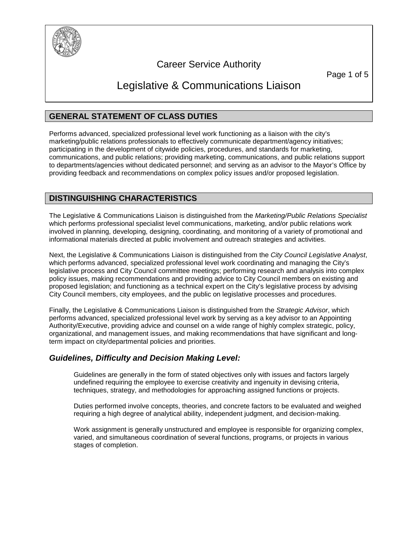

# Career Service Authority

Page 1 of 5

# Legislative & Communications Liaison

# **GENERAL STATEMENT OF CLASS DUTIES**

Performs advanced, specialized professional level work functioning as a liaison with the city's marketing/public relations professionals to effectively communicate department/agency initiatives; participating in the development of citywide policies, procedures, and standards for marketing, communications, and public relations; providing marketing, communications, and public relations support to departments/agencies without dedicated personnel; and serving as an advisor to the Mayor's Office by providing feedback and recommendations on complex policy issues and/or proposed legislation.

# **DISTINGUISHING CHARACTERISTICS**

The Legislative & Communications Liaison is distinguished from the *Marketing/Public Relations Specialist*  which performs professional specialist level communications, marketing, and/or public relations work involved in planning, developing, designing, coordinating, and monitoring of a variety of promotional and informational materials directed at public involvement and outreach strategies and activities.

Next, the Legislative & Communications Liaison is distinguished from the *City Council Legislative Analyst*, which performs advanced, specialized professional level work coordinating and managing the City's legislative process and City Council committee meetings; performing research and analysis into complex policy issues, making recommendations and providing advice to City Council members on existing and proposed legislation; and functioning as a technical expert on the City's legislative process by advising City Council members, city employees, and the public on legislative processes and procedures.

Finally, the Legislative & Communications Liaison is distinguished from the *Strategic Advisor*, which performs advanced, specialized professional level work by serving as a key advisor to an Appointing Authority/Executive, providing advice and counsel on a wide range of highly complex strategic, policy, organizational, and management issues, and making recommendations that have significant and longterm impact on city/departmental policies and priorities.

# *Guidelines, Difficulty and Decision Making Level:*

Guidelines are generally in the form of stated objectives only with issues and factors largely undefined requiring the employee to exercise creativity and ingenuity in devising criteria, techniques, strategy, and methodologies for approaching assigned functions or projects.

Duties performed involve concepts, theories, and concrete factors to be evaluated and weighed requiring a high degree of analytical ability, independent judgment, and decision-making.

Work assignment is generally unstructured and employee is responsible for organizing complex, varied, and simultaneous coordination of several functions, programs, or projects in various stages of completion.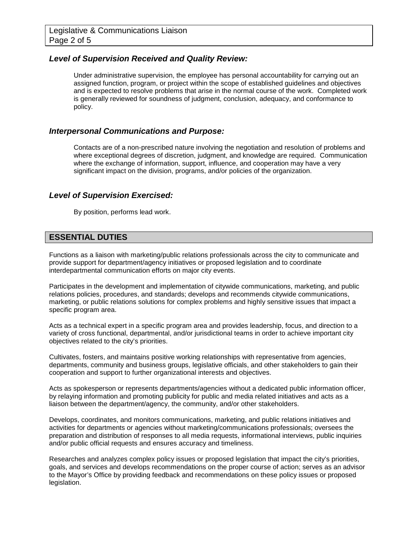## *Level of Supervision Received and Quality Review:*

Under administrative supervision, the employee has personal accountability for carrying out an assigned function, program, or project within the scope of established guidelines and objectives and is expected to resolve problems that arise in the normal course of the work. Completed work is generally reviewed for soundness of judgment, conclusion, adequacy, and conformance to policy.

#### *Interpersonal Communications and Purpose:*

Contacts are of a non-prescribed nature involving the negotiation and resolution of problems and where exceptional degrees of discretion, judgment, and knowledge are required. Communication where the exchange of information, support, influence, and cooperation may have a very significant impact on the division, programs, and/or policies of the organization.

#### *Level of Supervision Exercised:*

By position, performs lead work.

## **ESSENTIAL DUTIES**

Functions as a liaison with marketing/public relations professionals across the city to communicate and provide support for department/agency initiatives or proposed legislation and to coordinate interdepartmental communication efforts on major city events.

Participates in the development and implementation of citywide communications, marketing, and public relations policies, procedures, and standards; develops and recommends citywide communications, marketing, or public relations solutions for complex problems and highly sensitive issues that impact a specific program area.

Acts as a technical expert in a specific program area and provides leadership, focus, and direction to a variety of cross functional, departmental, and/or jurisdictional teams in order to achieve important city objectives related to the city's priorities.

Cultivates, fosters, and maintains positive working relationships with representative from agencies, departments, community and business groups, legislative officials, and other stakeholders to gain their cooperation and support to further organizational interests and objectives.

Acts as spokesperson or represents departments/agencies without a dedicated public information officer, by relaying information and promoting publicity for public and media related initiatives and acts as a liaison between the department/agency, the community, and/or other stakeholders.

Develops, coordinates, and monitors communications, marketing, and public relations initiatives and activities for departments or agencies without marketing/communications professionals; oversees the preparation and distribution of responses to all media requests, informational interviews, public inquiries and/or public official requests and ensures accuracy and timeliness.

Researches and analyzes complex policy issues or proposed legislation that impact the city's priorities, goals, and services and develops recommendations on the proper course of action; serves as an advisor to the Mayor's Office by providing feedback and recommendations on these policy issues or proposed legislation.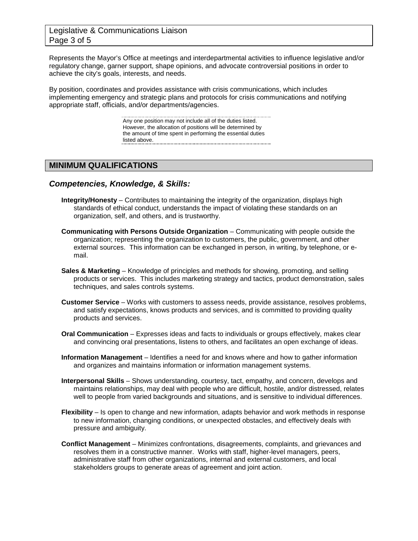## Legislative & Communications Liaison Page 3 of 5

Represents the Mayor's Office at meetings and interdepartmental activities to influence legislative and/or regulatory change, garner support, shape opinions, and advocate controversial positions in order to achieve the city's goals, interests, and needs.

By position, coordinates and provides assistance with crisis communications, which includes implementing emergency and strategic plans and protocols for crisis communications and notifying appropriate staff, officials, and/or departments/agencies.

> Any one position may not include all of the duties listed. However, the allocation of positions will be determined by the amount of time spent in performing the essential duties listed above.

## **MINIMUM QUALIFICATIONS**

#### *Competencies, Knowledge, & Skills:*

- **Integrity/Honesty** Contributes to maintaining the integrity of the organization, displays high standards of ethical conduct, understands the impact of violating these standards on an organization, self, and others, and is trustworthy.
- **Communicating with Persons Outside Organization** Communicating with people outside the organization; representing the organization to customers, the public, government, and other external sources. This information can be exchanged in person, in writing, by telephone, or email.
- **Sales & Marketing** Knowledge of principles and methods for showing, promoting, and selling products or services. This includes marketing strategy and tactics, product demonstration, sales techniques, and sales controls systems.
- **Customer Service** Works with customers to assess needs, provide assistance, resolves problems, and satisfy expectations, knows products and services, and is committed to providing quality products and services.
- **Oral Communication** Expresses ideas and facts to individuals or groups effectively, makes clear and convincing oral presentations, listens to others, and facilitates an open exchange of ideas.
- **Information Management** Identifies a need for and knows where and how to gather information and organizes and maintains information or information management systems.
- **Interpersonal Skills** Shows understanding, courtesy, tact, empathy, and concern, develops and maintains relationships, may deal with people who are difficult, hostile, and/or distressed, relates well to people from varied backgrounds and situations, and is sensitive to individual differences.
- **Flexibility** Is open to change and new information, adapts behavior and work methods in response to new information, changing conditions, or unexpected obstacles, and effectively deals with pressure and ambiguity.
- **Conflict Management** Minimizes confrontations, disagreements, complaints, and grievances and resolves them in a constructive manner. Works with staff, higher-level managers, peers, administrative staff from other organizations, internal and external customers, and local stakeholders groups to generate areas of agreement and joint action.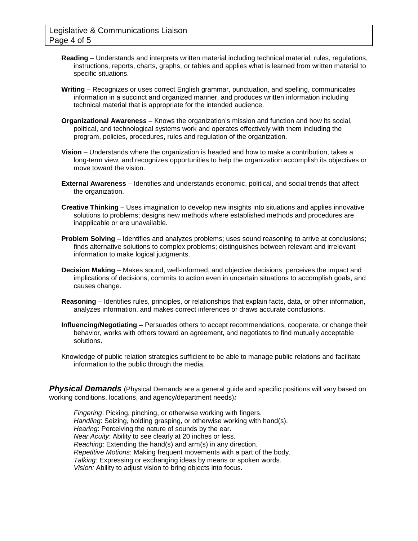- **Reading**  Understands and interprets written material including technical material, rules, regulations, instructions, reports, charts, graphs, or tables and applies what is learned from written material to specific situations.
- **Writing** Recognizes or uses correct English grammar, punctuation, and spelling, communicates information in a succinct and organized manner, and produces written information including technical material that is appropriate for the intended audience.
- **Organizational Awareness** Knows the organization's mission and function and how its social, political, and technological systems work and operates effectively with them including the program, policies, procedures, rules and regulation of the organization.
- **Vision** Understands where the organization is headed and how to make a contribution, takes a long-term view, and recognizes opportunities to help the organization accomplish its objectives or move toward the vision.
- **External Awareness** Identifies and understands economic, political, and social trends that affect the organization.
- **Creative Thinking** Uses imagination to develop new insights into situations and applies innovative solutions to problems; designs new methods where established methods and procedures are inapplicable or are unavailable.
- **Problem Solving**  Identifies and analyzes problems; uses sound reasoning to arrive at conclusions; finds alternative solutions to complex problems; distinguishes between relevant and irrelevant information to make logical judgments.
- **Decision Making** Makes sound, well-informed, and objective decisions, perceives the impact and implications of decisions, commits to action even in uncertain situations to accomplish goals, and causes change.
- **Reasoning** Identifies rules, principles, or relationships that explain facts, data, or other information, analyzes information, and makes correct inferences or draws accurate conclusions.
- **Influencing/Negotiating** Persuades others to accept recommendations, cooperate, or change their behavior, works with others toward an agreement, and negotiates to find mutually acceptable solutions.
- Knowledge of public relation strategies sufficient to be able to manage public relations and facilitate information to the public through the media.

**Physical Demands** (Physical Demands are a general guide and specific positions will vary based on working conditions, locations, and agency/department needs)*:*

*Fingering*: Picking, pinching, or otherwise working with fingers. *Handling*: Seizing, holding grasping, or otherwise working with hand(s). *Hearing*: Perceiving the nature of sounds by the ear. *Near Acuity*: Ability to see clearly at 20 inches or less. *Reaching*: Extending the hand(s) and arm(s) in any direction. *Repetitive Motions*: Making frequent movements with a part of the body. *Talking:* Expressing or exchanging ideas by means or spoken words. *Vision:* Ability to adjust vision to bring objects into focus.